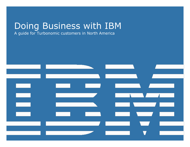# Doing Business with IBM

A guide for Turbonomic customers in North America

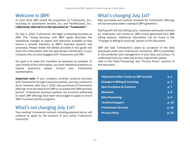### Welcome to IBM!

In June 2021 IBM closed the acquisition of Turbonomic, Inc., including its subsidiaries SevOne, Inc. and ParkMyCloud, Inc., collectively referred to in this document as "Turbonomic".

On July 1, 2022, Turbonomic will begin conducting business as IBM. This "Doing Business with IBM" guide describes the operational changes to expect and resources available to help ensure a smooth transition to IBM's business systems and processes. Please review the details provided in this guide and share this information with the appropriate individual(s) in your company who are also engaged with Turbonomic and IBM.

Our goal is to make this transition as seamless as possible. If, upon review of this information, you have additional questions or require assistance please contact your Turbonomic representative.

**Important note:** If your company currently conducts business with Turbonomic through a business partner, you may continue to do so. However, after July 1, 2022, new purchases of Turbonomic offerings must be made from IBM or an authorized IBM business partner. Turbonomic business partners not currently authorized to resell IBM offerings have been encouraged to apply to one of IBM's business partner programs.

### What's not changing July 1st?

Your existing Turbonomic contract, including payment terms, will continue to apply for the duration of your active Turbonomic contract(s).

## **What's changing July 1st?**

New purchases and contract renewals for Turbonomic offerings will be executed under a standard IBM agreement.

Starting with the July billing cycle, customers previously invoiced by Turbonomic will receive an IBM invoice generated from IBM billing systems. Additional information can be found in the "Changes to Billing & Invoicing" section of this document.

IBM will take Turbonomic's place as processor of the data processed under your Turbonomic contract(s). IBM is committed to the protection and management of your data and privacy. To understand how your data and privacy is governed, please refer to the "Data Processing" and "Privacy Policy" sections of this document.

| <b>Important action: Create an IBM account</b> | p.2                |
|------------------------------------------------|--------------------|
| <b>Changes to Billing &amp; Invoicing</b>      | p. 3               |
| <b>New Purchases &amp; Contracts</b>           | p. 7               |
| <b>Renewals</b>                                | p. 8               |
| <b>Data Processing</b>                         | $\overline{p}$ . 9 |
| <b>Technical Support</b>                       | p. 10              |
| <b>Professional Services</b>                   | p. 10              |
| <b>Privacy Policy</b>                          | p. 11              |
|                                                |                    |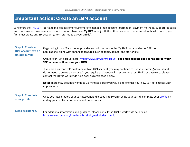### <span id="page-2-0"></span>**Important action: Create an IBM account**

IBM offers the "[My IBM](https://myibm.ibm.com/)" portal to make it easier for customers to manage their account information, payment methods, support requests and more in one convenient and secure location. To access My IBM, along with the other online tools referenced in this document, you first must create an IBM account (often referred to as your IBMid).

| <b>Step 1: Create an</b><br><b>IBM account with a</b><br>unique IBMid | Registering for an IBM account provides you with access to the My IBM portal and other IBM.com<br>applications, along with enhanced features such as trials, demos, and starter kits.                                                                                                 |  |  |
|-----------------------------------------------------------------------|---------------------------------------------------------------------------------------------------------------------------------------------------------------------------------------------------------------------------------------------------------------------------------------|--|--|
|                                                                       | Create your IBM account here: https://www.ibm.com/account. The email address used to register for your<br>IBM account will become your IBMid.                                                                                                                                         |  |  |
|                                                                       | If you are a current IBM customer with an IBM account, you may continue to use your existing account and<br>do not need to create a new one. If you require assistance with recovering a lost IBMid or password, please<br>contact the IBMid worldwide help desk as referenced below. |  |  |
|                                                                       | <b>Note:</b> There may be a delay of up to 15 minutes before you will be able to use your new IBMid to access IBM<br>applications                                                                                                                                                     |  |  |
| <b>Step 2: Complete</b><br>your profile                               | Once you have created your IBM account and logged into My IBM using your IBMid, complete your profile by<br>adding your contact information and preferences.                                                                                                                          |  |  |
| <b>Need assistance?</b>                                               | For additional information and guidance, please consult the IBMid worldwide help desk:<br>https://www.ibm.com/ibmid/myibm/help/us/helpdesk.html.                                                                                                                                      |  |  |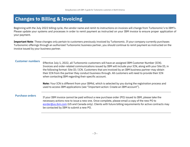## <span id="page-3-0"></span>**Changes to Billing & Invoicing**

Beginning with the July 2022 billing cycle, the vendor name and remit-to instructions on invoices will change from Turbonomic's to IBM's. Please update your systems and processes in order to remit payment as instructed on your IBM invoice to ensure proper application of your payment.

**Important Note**: These changes only pertain to customers previously invoiced by Turbonomic. If your company currently purchases Turbonomic offerings through an authorized Turbonomic business partner, you should continue to remit payment as instructed on the invoice issued by your business partner.

<span id="page-3-1"></span>**Customer numbers** Effective July 1, 2022, all Turbonomic customers will have an assigned IBM Customer Number (ICN). Invoices and order-related communications issued by IBM will include your ICN, along with your Site ID, in the following format: Site ID / ICN. Customers that are invoiced by an IBM business partner may obtain their ICN from the partner they conduct business through. All customers will need to provide their ICN when contacting IBM regarding their specific account.

> **Note:** Your ICN is different from your IBMid, which is selected by you during the registration process and used to access IBM applications (see "Important action: Create an IBM account").

**Purchase orders** If your IBM invoice cannot be paid without a new purchase order (PO) issued to IBM, please take the necessary actions now to issue a new one. Once complete, please email a copy of the new PO to [eorder@us.ibm.com](mailto:eorder@us.ibm.com) (US and Canada only). Clients with future billing requirements for active contracts may be contacted by IBM to submit a new PO.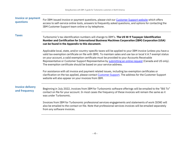| <b>Invoice or payment</b><br>questions   | For IBM-issued invoice or payment questions, please visit our Customer Support website which offers<br>access to self-service online tools, answers to frequently asked questions, and options for contacting the<br>IBM Customer Support team online or by telephone.                                                                                                                                                                                                                                         |  |  |  |
|------------------------------------------|----------------------------------------------------------------------------------------------------------------------------------------------------------------------------------------------------------------------------------------------------------------------------------------------------------------------------------------------------------------------------------------------------------------------------------------------------------------------------------------------------------------|--|--|--|
| <b>Taxes</b>                             | Turbonomic's tax identification numbers will change to IBM's. The US W-9 Taxpayer Identification<br>Number and Certification for International Business Machines Corporation (IBM) Corporation (USA)<br>can be found in the Appendix to this document.                                                                                                                                                                                                                                                         |  |  |  |
|                                          | Applicable local, state, and/or country-specific taxes will be applied to your IBM invoice (unless you have a<br>valid tax exemption certificate on file with IBM). To maintain sales and use tax or local V.A.T exempt status<br>on your account, a valid exemption certificate must be provided to your Accounts Receivable<br>Representative or Customer Support Representative by submitting an online request (Canada and US only).<br>The exemption certificate should be based on your service address. |  |  |  |
|                                          | For assistance with all invoice and payment related issues, including tax exemption certificates or<br>clarification on the tax applied, please contact Customer Support. The address for the Customer Support<br>website will also appear on your invoices from IBM.                                                                                                                                                                                                                                          |  |  |  |
| <b>Invoice delivery</b><br>and frequency | Beginning in July 2022, invoices from IBM for Turbonomic software offerings will be emailed to the "Bill To"<br>contact on file for your account. In most cases the frequency of these invoices will remain the same as it<br>was under Turbonomic.                                                                                                                                                                                                                                                            |  |  |  |
|                                          | Invoices from IBM for Turbonomic professional services engagements and statements of work (SOW) will<br>also be emailed to the contact on file. Note that professional services invoices will be emailed separately<br>from any software invoices.                                                                                                                                                                                                                                                             |  |  |  |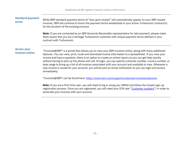| <b>Standard payment</b><br>terms      | While IBM standard payment terms of "due upon receipt" will automatically appear on your IBM-issued<br>invoices, IBM will continue to honor the payment terms established in your active Turbonomic contract(s)<br>for the duration of the existing contract.                                                                                                                                                                                                                                                                                                                                                                                                                               |
|---------------------------------------|---------------------------------------------------------------------------------------------------------------------------------------------------------------------------------------------------------------------------------------------------------------------------------------------------------------------------------------------------------------------------------------------------------------------------------------------------------------------------------------------------------------------------------------------------------------------------------------------------------------------------------------------------------------------------------------------|
|                                       | Note: If you are contacted by an IBM Accounts Receivable representative for late payment, please make<br>them aware that you are a heritage Turbonomic customer with unique payment terms defined in your<br>contract with Turbonomic.                                                                                                                                                                                                                                                                                                                                                                                                                                                      |
| <b>Access your</b><br>invoices online | "Invoices@IBM" is a portal that allows you to view your IBM invoices online, along with many additional<br>features. You can view, print, route and download invoice information to a spreadsheet. If you view your<br>invoice and have a question, there is an option to create an online inquiry so you can get help quickly<br>without having to pick up the phone and call. At login, you can specify customer number, invoice number, or<br>date range to bring up a list of all invoices associated with your account and available to view. Whenever a<br>new invoice is issued for your account, you will be sent an email notification so you can login and access<br>immediately. |
|                                       | "Invoices@IBM" can be found here: https://www.ibm.com/support/customer/invoices/welcome.                                                                                                                                                                                                                                                                                                                                                                                                                                                                                                                                                                                                    |
|                                       | Note: If you are a first-time user, you will need to log in using your IBMid and follow the simple sign-up<br>registration process. Once you are registered, you will need your ICN (see "Customer numbers") in order to                                                                                                                                                                                                                                                                                                                                                                                                                                                                    |

associate your invoices with your account.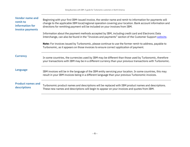| <b>Vendor name and</b><br>remit-to<br>information for<br>invoice payments | Beginning with your first IBM-issued invoice, the vendor name and remit-to information for payments will<br>change to the applicable IBM local/regional operation covering your location. Bank account information and<br>directions for remitting payment will be included on your invoices from IBM. |  |  |  |
|---------------------------------------------------------------------------|--------------------------------------------------------------------------------------------------------------------------------------------------------------------------------------------------------------------------------------------------------------------------------------------------------|--|--|--|
|                                                                           | Information about the payment methods accepted by IBM, including credit card and Electronic Data<br>Interchange, can also be found in the "Invoices and payments" section of the Customer Support website.                                                                                             |  |  |  |
|                                                                           | <b>Note:</b> For invoices issued by Turbonomic, please continue to use the former remit-to address, payable to<br>Turbonomic, as it appears on those invoices to ensure correct application of payment.                                                                                                |  |  |  |
| <b>Currency</b>                                                           | In some countries, the currencies used by IBM may be different than those used by Turbonomic, therefore<br>your transactions with IBM may be in a different currency than your previous transactions with Turbonomic.                                                                                  |  |  |  |
| <b>Language</b>                                                           | IBM invoices will be in the language of the IBM entity servicing your location. In some countries, this may<br>result in your IBM invoices being in a different language than your previous Turbonomic invoices.                                                                                       |  |  |  |
| <b>Product names and</b><br>descriptions                                  | Turbonomic product names and descriptions will be replaced with IBM product names and descriptions.<br>These new names and descriptions will begin to appear on your invoices and quotes from IBM.                                                                                                     |  |  |  |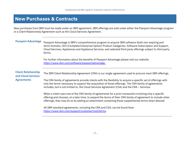### <span id="page-7-0"></span>**New Purchases & Contracts**

New purchases from IBM must be made under an IBM agreement. IBM offerings are sold under either the Passport Advantage program or a Client Relationship Agreement such as the Cloud Services Agreement.

**Passport Advantage** Passport Advantage is IBM's comprehensive program to acquire IBM software (both non-expiring and term) licenses, CEO (Complete Enterprise Option) Product Categories, Software Subscription and Support, Cloud Services, Appliances and Appliance Services, and selected third party offerings subject to third party terms.

> For further information about the benefits of Passport Advantage please visit our website: [https://www.ibm.com/software/passportadvantage.](https://www.ibm.com/software/passportadvantage)

### **Client Relationship and Cloud Services Agreements**

The IBM Client Relationship Agreement (CRA) is our single agreement used to procure most IBM offerings.

The CRA family of agreements provide clients with the flexibility to acquire a specific set of offerings with only the terms necessary to support the acquisition of those offerings. The CRA family of agreements includes, but is not limited to, the Cloud Services Agreement (CSA) and the CRA – Services.

When a client uses one of the CRA family of agreements for a prior transaction involving only a specific offering and chooses, at a later time, to expand the terms of their CRA family of agreement to include other offerings, they may do so by adding an attachment containing those supplemental terms when desired.

All IBM standard agreements, including the CRA and CSA, can be found here: [https://www.ibm.com/support/customer/csol/terms.](https://www.ibm.com/support/customer/csol/terms)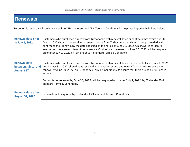## <span id="page-8-0"></span>**Renewals**

Turbonomic renewals will be integrated into IBM processes and IBM Terms & Conditions in the phased approach defined below.

| <b>Renewal date prior</b><br>to July 1, 2022                           | Customers who purchased directly from Turbonomic with renewal dates or contracts that expire prior to<br>July 1, 2022 should have received a renewal notice from Turbonomic and should have proceeded with<br>confirming their renewal by the date specified on the notice or June 30, 2022, whichever is earlier, to<br>ensure that there are no disruptions in service. Contracts not renewed by June 30, 2022 will be re-quoted<br>on or after July 1, 2022 by IBM under IBM standard Terms & Conditions. |
|------------------------------------------------------------------------|--------------------------------------------------------------------------------------------------------------------------------------------------------------------------------------------------------------------------------------------------------------------------------------------------------------------------------------------------------------------------------------------------------------------------------------------------------------------------------------------------------------|
| <b>Renewal date</b><br>between July 1 <sup>st</sup> and<br>August 31st | Customers who purchased directly from Turbonomic with renewal dates that expire between July 1, 2022,<br>and August 31, 2022, should have received a renewal letter and quote from Turbonomic to secure their<br>renewal by June 30, 2022, on Turbonomic Terms & Conditions, to ensure that there are no disruptions in<br>service.                                                                                                                                                                          |
|                                                                        | Contracts not renewed by June 30, 2022, will be re-quoted on or after July 1, 2022, by IBM under IBM<br>standard Terms & Conditions.                                                                                                                                                                                                                                                                                                                                                                         |
| <b>Renewal date after</b><br><b>August 31, 2022</b>                    | Renewals will be quoted by IBM under IBM standard Terms & Conditions.                                                                                                                                                                                                                                                                                                                                                                                                                                        |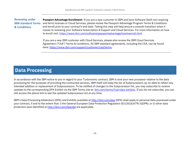### **Renewing under IBM standard Terms & Conditions**

**Passport Advantage Enrollment**: If you are a new customer to IBM and have Software (both non-expiring and term) licenses or Cloud Services, please review the Passport Advantage Program Terms & Conditions and enroll prior to your contract's end date. Taking this step will help ensure a smooth transition when it comes to renewing your Software Subscription & Support and Cloud Services. For more information on how to enroll visit: <https://www.ibm.com/software/passportadvantage/howtoenroll.html>

<span id="page-9-0"></span>If you are a new IBM customer with Cloud Services, please also review the IBM Cloud Services Agreement ("CSA") Terms & Conditions. All IBM standard agreements, including the CSA, can be found here: [https://www.ibm.com/support/customer/csol/terms.](https://www.ibm.com/support/customer/csol/terms)

### **Data Processing**

In accordance with the IBM notice to you in regard to your Turbonomic contract, IBM is now your new processor relative to the data processing for the purposes of providing the contracted services. IBM itself will keep the list of Subprocessors up-to-date to reflect any intended addition or replacement of Subprocessors. To be notified of changes to the Subprocessor list, you may subscribe to receive updates to the corresponding DPA Exhibit via the IBM Terms site at: [ibm.com/terms/?cat=dpa-exhibits.](http://ibm.com/terms/?cat=dpa-exhibits) If you do not subscribe, you can still access the above link to see the updated Subprocessor list at any time.

<span id="page-9-1"></span>IBM's Data Processing Addendum (DPA) and Exhibits available at <http://ibm.com/dpa> (DPA) shall apply to personal data processed under your contract, if and to the extent that: i) the General European Data Protection Regulation (EU/2016/679) (GDPR); or ii) other data protection laws identified at <http://ibm.com/dpa/dpl> are applicable.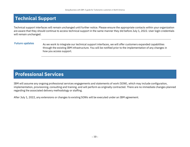## **Technical Support**

Technical support interfaces will remain unchanged until further notice. Please ensure the appropriate contacts within your organization are aware that they should continue to access technical support in the same manner they did before July 1, 2022. User login credentials will remain unchanged.

**Future updates** As we work to integrate our technical support interfaces, we will offer customers expanded capabilities through the existing IBM infrastructure. You will be notified prior to the implementation of any changes in how you access support.

### <span id="page-10-0"></span>**Professional Services**

IBM will assume any ongoing professional services engagements and statements of work (SOW), which may include configuration, implementation, provisioning, consulting and training, and will perform as originally contracted. There are no immediate changes planned regarding the associated delivery methodology or staffing.

After July 1, 2022, any extensions or changes to existing SOWs will be executed under an IBM agreement.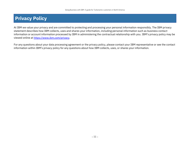## <span id="page-11-0"></span>**Privacy Policy**

At IBM we value your privacy and are committed to protecting and processing your personal information responsibly. The IBM privacy statement describes how IBM collects, uses and shares your information, including personal information such as business contact information or account information processed by IBM in administering the contractual relationship with you. IBM's privacy policy may be viewed online a[t https://www.ibm.com/privacy.](https://www.ibm.com/privacy)

For any questions about your data processing agreement or the privacy policy, please contact your IBM representative or see the contact information within IBM's privacy policy for any questions about how IBM collects, uses, or shares your information.